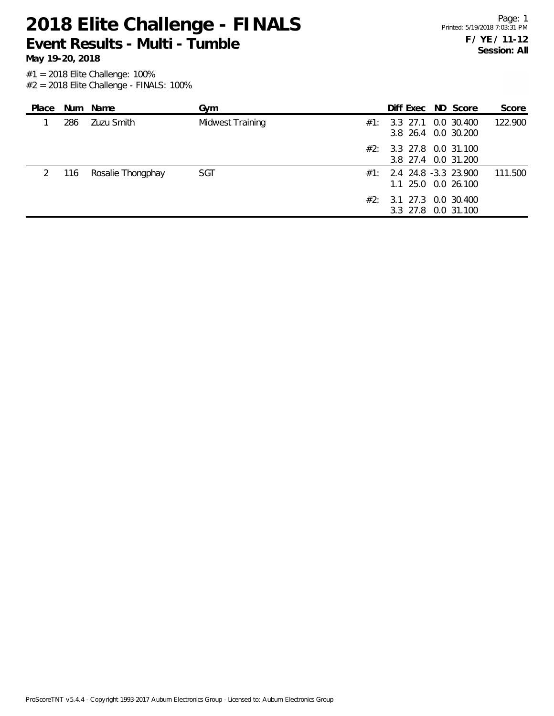**Event Results - Multi - Tumble**

**May 19-20, 2018**

| Place |     | Num Name          | Gym              |     | Diff Exec ND Score                                |  | Score   |
|-------|-----|-------------------|------------------|-----|---------------------------------------------------|--|---------|
|       | 286 | Zuzu Smith        | Midwest Training | #1: | 3.3 27.1 0.0 30.400<br>3.8 26.4 0.0 30.200        |  | 122.900 |
|       |     |                   |                  | #2∶ | 3.3 27.8 0.0 31.100<br>3.8 27.4 0.0 31.200        |  |         |
|       | 116 | Rosalie Thongphay | SGT              |     | $#1: 2.4 24.8 -3.3 23.900$<br>1.1 25.0 0.0 26.100 |  | 111.500 |
|       |     |                   |                  |     | #2: 3.1 27.3 0.0 30.400<br>3.3 27.8 0.0 31.100    |  |         |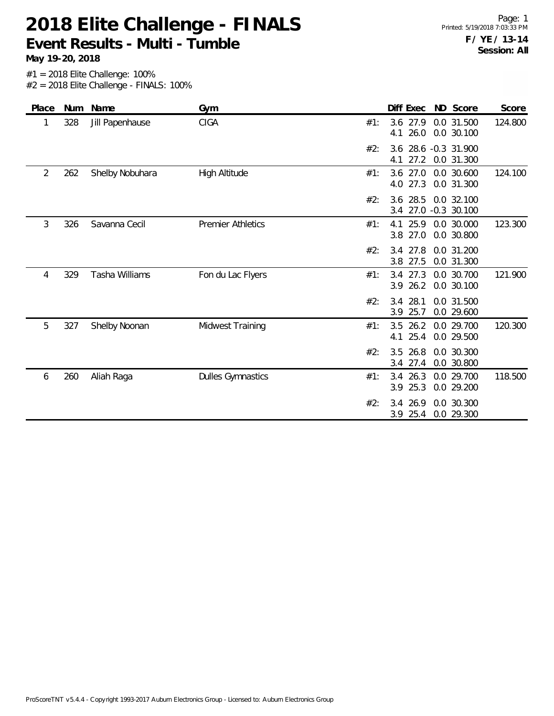**Event Results - Multi - Tumble**

**May 19-20, 2018**

| Place | <b>Num</b> | Name            | Gym                      | Diff Exec<br>ND Score<br>Score                                           |
|-------|------------|-----------------|--------------------------|--------------------------------------------------------------------------|
|       | 328        | Jill Papenhause | CIGA                     | 124.800<br>3.6 27.9<br>0.0 31.500<br>#1:<br>26.0<br>0.0 30.100<br>4.1    |
|       |            |                 |                          | 3.6 28.6 -0.3 31.900<br>#2:<br>27.2<br>4.1<br>0.0 31.300                 |
| 2     | 262        | Shelby Nobuhara | High Altitude            | 124.100<br>$3.6$ 27.0<br>0.0 30.600<br>#1:<br>27.3<br>0.0 31.300<br>4.0  |
|       |            |                 |                          | 3.6 28.5<br>#2:<br>0.0 32.100<br>27.0 -0.3 30.100<br>3.4                 |
| 3     | 326        | Savanna Cecil   | <b>Premier Athletics</b> | 123.300<br>25.9<br>0.0 30.000<br>#1:<br>4.1<br>3.8 27.0<br>0.0 30.800    |
|       |            |                 |                          | 3.4 27.8<br>#2:<br>0.0 31.200<br>27.5<br>0.0 31.300<br>3.8               |
| 4     | 329        | Tasha Williams  | Fon du Lac Flyers        | 27.3<br>121.900<br>0.0 30.700<br>#1:<br>3.4<br>3.9 26.2<br>0.0 30.100    |
|       |            |                 |                          | 28.1<br>#2:<br>3.4<br>0.0 31.500<br>25.7<br>0.0 29.600<br>3.9            |
| 5     | 327        | Shelby Noonan   | Midwest Training         | 120.300<br>3.5<br>26.2<br>0.0 29.700<br>#1:<br>25.4<br>0.0 29.500<br>4.1 |
|       |            |                 |                          | 3.5 26.8<br>#2:<br>0.0 30.300<br>0.0 30.800<br>3.4 27.4                  |
| 6     | 260        | Aliah Raga      | <b>Dulles Gymnastics</b> | 3.4 26.3<br>0.0 29.700<br>118.500<br>#1:<br>25.3<br>0.0 29.200<br>3.9    |
|       |            |                 |                          | 3.4 26.9<br>0.0 30.300<br>#2:<br>3.9 25.4<br>0.0 29.300                  |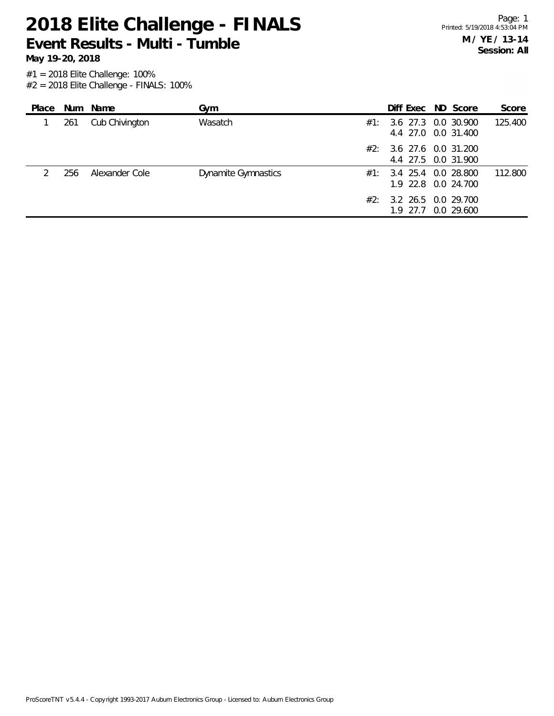**Event Results - Multi - Tumble**

| Place |     | Num Name       | Gym                        |     | Diff Exec ND Score                         |  | Score   |
|-------|-----|----------------|----------------------------|-----|--------------------------------------------|--|---------|
|       | 261 | Cub Chivington | Wasatch                    | #1: | 3.6 27.3 0.0 30.900<br>4.4 27.0 0.0 31.400 |  | 125.400 |
|       |     |                |                            | #2: | 3.6 27.6 0.0 31.200<br>4.4 27.5 0.0 31.900 |  |         |
|       | 256 | Alexander Cole | <b>Dynamite Gymnastics</b> | #1: | 3.4 25.4 0.0 28.800<br>1.9 22.8 0.0 24.700 |  | 112.800 |
|       |     |                |                            | #2: | 3.2 26.5 0.0 29.700<br>1.9 27.7 0.0 29.600 |  |         |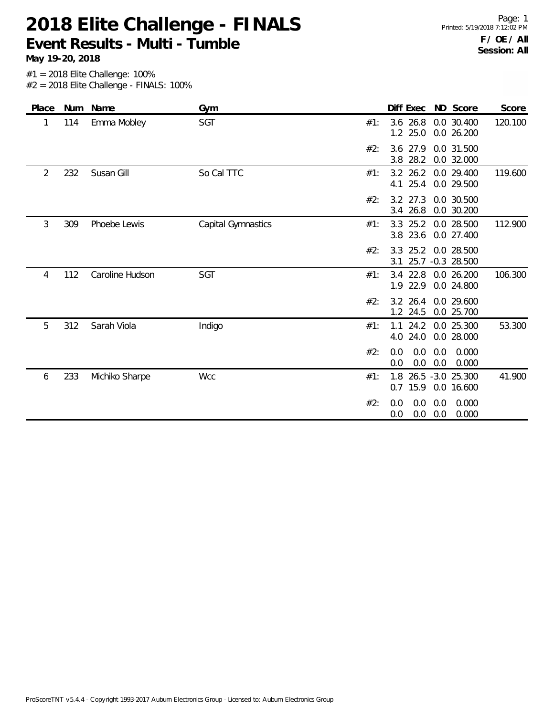**Event Results - Multi - Tumble**

| Place |     | Num Name        | Gym                |     | Diff Exec                   | ND Score                       | Score   |
|-------|-----|-----------------|--------------------|-----|-----------------------------|--------------------------------|---------|
|       | 114 | Emma Mobley     | SGT                | #1: | $3.6$ 26.8<br>25.0<br>1.2   | 0.0 30.400<br>0.0 26.200       | 120.100 |
|       |     |                 |                    | #2: | 3.6 27.9<br>28.2<br>3.8     | 0.0 31.500<br>0.0 32.000       |         |
| 2     | 232 | Susan Gill      | So Cal TTC         | #1: | $3.2$ 26.2<br>25.4<br>4.1   | 0.0 29.400<br>0.0 29.500       | 119.600 |
|       |     |                 |                    | #2: | $3.2$ $27.3$<br>26.8<br>3.4 | 0.0 30.500<br>0.0 30.200       |         |
| 3     | 309 | Phoebe Lewis    | Capital Gymnastics | #1: | $3.3$ 25.2<br>3.8 23.6      | 0.0 28.500<br>0.0 27.400       | 112.900 |
|       |     |                 |                    | #2: | $3.3$ 25.2<br>3.1           | 0.0 28.500<br>25.7 -0.3 28.500 |         |
| 4     | 112 | Caroline Hudson | <b>SGT</b>         | #1: | $3.4$ 22.8<br>1.9 22.9      | 0.0 26.200<br>0.0 24.800       | 106.300 |
|       |     |                 |                    | #2: | 3.2 26.4<br>1.2 24.5        | 0.0 29.600<br>0.0 25.700       |         |
| 5     | 312 | Sarah Viola     | Indigo             | #1: | 24.2<br>1.1<br>24.0<br>4.0  | 0.0 25.300<br>0.0 28.000       | 53.300  |
|       |     |                 |                    | #2: | 0.0<br>0.0<br>0.0<br>0.0    | 0.0<br>0.000<br>0.000<br>0.0   |         |
| 6     | 233 | Michiko Sharpe  | <b>Wcc</b>         | #1: | 1.8<br>$0.7$ 15.9           | 26.5 -3.0 25.300<br>0.0 16.600 | 41.900  |
|       |     |                 |                    | #2: | 0.0<br>0.0<br>0.0<br>0.0    | 0.0<br>0.000<br>0.000<br>0.0   |         |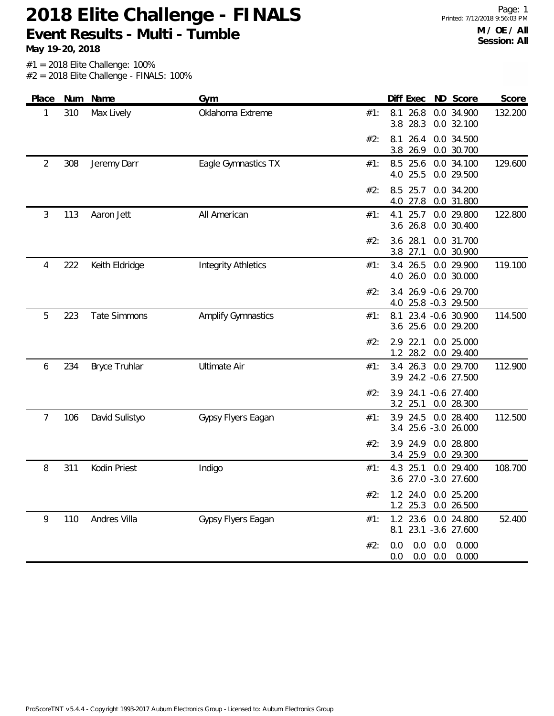## **2018 Elite Challenge - FINALS Event Results - Multi - Tumble**

**May 19-20, 2018**

| Place | Num | Name                 | Gym                        |     | Diff Exec ND Score                                           | Score   |
|-------|-----|----------------------|----------------------------|-----|--------------------------------------------------------------|---------|
| 1     | 310 | Max Lively           | Oklahoma Extreme           | #1: | 26.8<br>0.0 34.900<br>8.1<br>3.8<br>28.3<br>0.0 32.100       | 132.200 |
|       |     |                      |                            | #2: | 0.0 34.500<br>8.1<br>26.4<br>3.8<br>26.9<br>0.0 30.700       |         |
| 2     | 308 | Jeremy Darr          | Eagle Gymnastics TX        | #1: | 8.5 25.6<br>0.0 34.100<br>4.0 25.5<br>0.0 29.500             | 129.600 |
|       |     |                      |                            | #2: | 8.5<br>25.7<br>0.0 34.200<br>0.0 31.800<br>4.0 27.8          |         |
| 3     | 113 | Aaron Jett           | All American               | #1: | 4.1<br>25.7<br>0.0 29.800<br>3.6 26.8<br>0.0 30.400          | 122.800 |
|       |     |                      |                            | #2: | 28.1<br>0.0 31.700<br>3.6<br>3.8 27.1<br>0.0 30.900          |         |
| 4     | 222 | Keith Eldridge       | <b>Integrity Athletics</b> | #1: | 3.4 26.5<br>0.0 29.900<br>4.0 26.0<br>0.0 30.000             | 119.100 |
|       |     |                      |                            | #2: | 26.9 - 0.6 29.700<br>3.4<br>25.8 -0.3 29.500<br>4.0          |         |
| 5     | 223 | <b>Tate Simmons</b>  | <b>Amplify Gymnastics</b>  | #1: | 23.4 -0.6 30.900<br>8.1<br>3.6 25.6<br>0.0 29.200            | 114.500 |
|       |     |                      |                            | #2: | 2.9 22.1<br>0.0 25.000<br>1.2 28.2<br>0.0 29.400             |         |
| 6     | 234 | <b>Bryce Truhlar</b> | <b>Ultimate Air</b>        | #1: | 3.4 26.3<br>0.0 29.700<br>3.9 24.2 -0.6 27.500               | 112.900 |
|       |     |                      |                            | #2: | $-0.6$ 27.400<br>3.9<br>24.1<br>3.2 25.1<br>0.0 28.300       |         |
| 7     | 106 | David Sulistyo       | Gypsy Flyers Eagan         | #1: | 3.9 24.5<br>0.0 28.400<br>3.4 25.6 -3.0 26.000               | 112.500 |
|       |     |                      |                            | #2: | 0.0 28.800<br>3.9<br>24.9<br>0.0 29.300<br>25.9<br>3.4       |         |
| 8     | 311 | Kodin Priest         | Indigo                     | #1: | 25.1<br>0.0 29.400<br>4.3<br>3.6 27.0 -3.0 27.600            | 108.700 |
|       |     |                      |                            | #2: | 1.2 24.0 0.0 25.200<br>1.2 25.3 0.0 26.500                   |         |
| 9     | 110 | Andres Villa         | Gypsy Flyers Eagan         | #1: | 1.2 23.6 0.0 24.800<br>8.1 23.1 -3.6 27.600                  | 52.400  |
|       |     |                      |                            | #2: | $0.0$ $0.0$ $0.000$<br>0.0<br>$0.0\quad 0.0$<br>0.000<br>0.0 |         |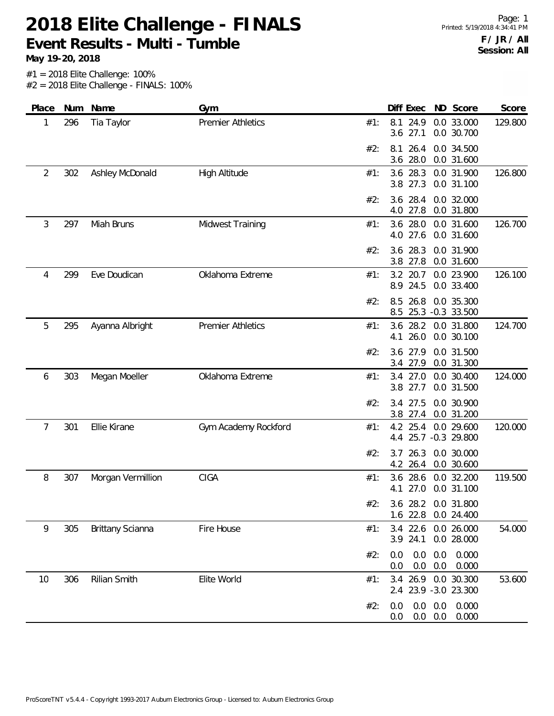**2018 Elite Challenge - FINALS Event Results - Multi - Tumble**

| ND Score                                   | Diff Exec                  |                                                                                                                                                                                           | Gym                      |                     | Num  | Place          |
|--------------------------------------------|----------------------------|-------------------------------------------------------------------------------------------------------------------------------------------------------------------------------------------|--------------------------|---------------------|------|----------------|
| 0.0 33.000<br>0.0 30.700                   | 24.9<br>8.1<br>27.1<br>3.6 | #1:                                                                                                                                                                                       | <b>Premier Athletics</b> | Tia Taylor          | 296  | 1              |
| 0.0 34.500<br>0.0 31.600                   | 26.4<br>8.1<br>28.0<br>3.6 | #2:                                                                                                                                                                                       |                          |                     |      |                |
| 0.0 31.900<br>0.0 31.100                   | 28.3<br>3.6<br>27.3<br>3.8 | #1:                                                                                                                                                                                       | <b>High Altitude</b>     | Ashley McDonald     | 302  | $\overline{2}$ |
| 0.0 32.000<br>0.0 31.800                   | 28.4<br>3.6<br>27.8<br>4.0 | #2:                                                                                                                                                                                       |                          |                     |      |                |
| 0.0 31.600<br>0.0 31.600                   | 28.0<br>3.6<br>4.0 27.6    | #1:                                                                                                                                                                                       | Midwest Training         | Miah Bruns          | 297  | 3              |
| 0.0 31.900<br>0.0 31.600                   | 28.3<br>3.6<br>3.8 27.8    | #2:                                                                                                                                                                                       |                          |                     |      |                |
| 0.0 23.900<br>0.0 33.400                   | 3.2<br>8.9<br>24.5         | #1:                                                                                                                                                                                       | Oklahoma Extreme         | Eve Doudican        | 299  | 4              |
| 0.0 35.300                                 | 26.8<br>8.5                | #2:                                                                                                                                                                                       |                          |                     |      |                |
| 0.0 31.800<br>0.0 30.100                   | 26.0<br>4.1                | #1:                                                                                                                                                                                       | <b>Premier Athletics</b> | Ayanna Albright     | 295  | 5              |
| 0.0 31.500<br>0.0 31.300                   | 27.9<br>3.6                | #2:                                                                                                                                                                                       |                          |                     |      |                |
| 0.0 30.400<br>0.0 31.500                   | 27.0<br>3.4<br>3.8 27.7    | #1:                                                                                                                                                                                       | Oklahoma Extreme         | Megan Moeller       | 303  | 6              |
| 0.0 30.900<br>0.0 31.200                   | 27.5<br>3.4                | #2:                                                                                                                                                                                       |                          |                     |      |                |
| 0.0 29.600                                 | 4.2<br>4.4                 | #1:                                                                                                                                                                                       | Gym Academy Rockford     | Ellie Kirane        | 301  | 7              |
| 0.0 30.000<br>0.0 30.600                   | 26.3<br>3.7<br>4.2 26.4    | #2:                                                                                                                                                                                       |                          |                     |      |                |
| 0.0 32.200<br>0.0 31.100                   | 28.6<br>3.6<br>27.0<br>4.1 | #1:                                                                                                                                                                                       | CIGA                     | Morgan Vermillion   | 307  | 8              |
|                                            |                            |                                                                                                                                                                                           |                          |                     |      |                |
| 0.0 26.000<br>0.0 28.000                   | 22.6<br>3.4<br>3.9 24.1    | #1:                                                                                                                                                                                       | Fire House               | Brittany Scianna    | 305  | 9              |
| 0.0<br>0.0<br>0.000<br>0.0<br>0.0<br>0.000 | 0.0<br>0.0                 | #2:                                                                                                                                                                                       |                          |                     |      |                |
|                                            |                            | #1:                                                                                                                                                                                       | Elite World              | <b>Rilian Smith</b> | 306  | 10             |
| 0.0<br>0.0<br>0.000<br>0.0<br>0.0<br>0.000 | 0.0<br>0.0                 | #2:                                                                                                                                                                                       |                          |                     |      |                |
|                                            |                            | 20.7<br>8.5 25.3 -0.3 33.500<br>3.6 28.2<br>3.4 27.9<br>3.8 27.4<br>25.4<br>25.7 -0.3 29.800<br>3.6 28.2 0.0 31.800<br>1.6 22.8 0.0 24.400<br>3.4 26.9 0.0 30.300<br>2.4 23.9 -3.0 23.300 | #2:                      |                     | Name |                |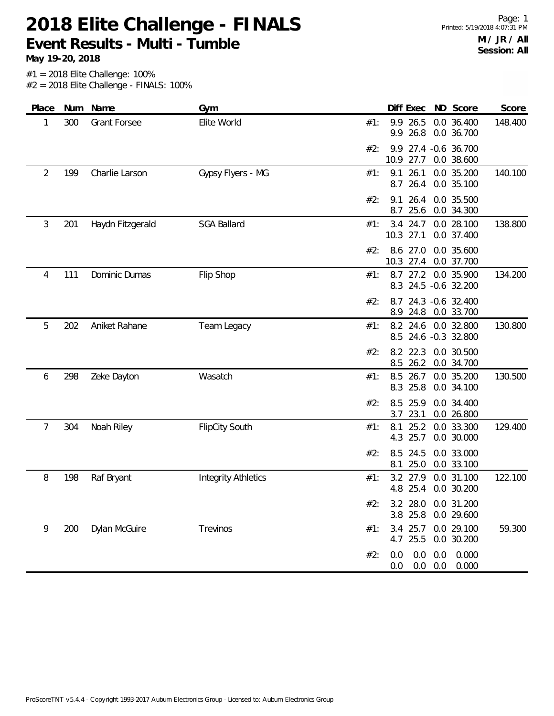**Event Results - Multi - Tumble**

**May 19-20, 2018**

Page: 1 Printed: 5/19/2018 4:07:31 PM **M / JR / All Session: All**

| Place | Num | Name                | Gym                        | Score<br>Diff Exec ND Score                                              |
|-------|-----|---------------------|----------------------------|--------------------------------------------------------------------------|
| 1     | 300 | <b>Grant Forsee</b> | Elite World                | 9.9<br>26.5<br>0.0 36.400<br>148.400<br>#1:<br>26.8<br>9.9<br>0.0 36.700 |
|       |     |                     |                            | 9.9 27.4 -0.6 36.700<br>#2:<br>10.9<br>27.7<br>0.0 38.600                |
| 2     | 199 | Charlie Larson      | Gypsy Flyers - MG          | 9.1<br>26.1<br>0.0 35.200<br>140.100<br>#1:<br>8.7 26.4<br>0.0 35.100    |
|       |     |                     |                            | 26.4<br>0.0 35.500<br>#2:<br>9.1<br>25.6<br>0.0 34.300<br>8.7            |
| 3     | 201 | Haydn Fitzgerald    | <b>SGA Ballard</b>         | 3.4 24.7<br>138.800<br>#1:<br>0.0 28.100<br>10.3 27.1<br>0.0 37.400      |
|       |     |                     |                            | 8.6 27.0<br>#2:<br>0.0 35.600<br>10.3 27.4<br>0.0 37.700                 |
| 4     | 111 | Dominic Dumas       | Flip Shop                  | 134.200<br>8.7 27.2 0.0 35.900<br>#1:<br>8.3 24.5 -0.6 32.200            |
|       |     |                     |                            | #2:<br>8.7 24.3 -0.6 32.400<br>24.8<br>0.0 33.700<br>8.9                 |
| 5     | 202 | Aniket Rahane       | Team Legacy                | 130.800<br>8.2 24.6<br>0.0 32.800<br>#1:<br>8.5 24.6 -0.3 32.800         |
|       |     |                     |                            | 8.2 22.3<br>0.0 30.500<br>#2:<br>8.5 26.2<br>0.0 34.700                  |
| 6     | 298 | Zeke Dayton         | Wasatch                    | 130.500<br>8.5 26.7<br>0.0 35.200<br>#1:<br>8.3 25.8<br>0.0 34.100       |
|       |     |                     |                            | 8.5<br>25.9<br>0.0 34.400<br>#2:<br>3.7<br>23.1<br>0.0 26.800            |
| 7     | 304 | Noah Riley          | <b>FlipCity South</b>      | 129.400<br>25.2<br>0.0 33.300<br>8.1<br>#1:<br>4.3 25.7<br>0.0 30.000    |
|       |     |                     |                            | 0.0 33.000<br>#2:<br>8.5<br>24.5<br>25.0<br>0.0 33.100<br>8.1            |
| 8     | 198 | Raf Bryant          | <b>Integrity Athletics</b> | 27.9<br>0.0 31.100<br>#1:<br>3.2<br>122.100<br>4.8 25.4<br>0.0 30.200    |
|       |     |                     |                            | #2.<br>3.2 28.0 0.0 31.200<br>3.8 25.8 0.0 29.600                        |
| 9     | 200 | Dylan McGuire       | Trevinos                   | 3.4 25.7 0.0 29.100<br>#1:<br>59.300<br>4.7 25.5 0.0 30.200              |
|       |     |                     |                            | $0.0$ $0.0$ $0.000$<br>#2:<br>0.0<br>$0.0$ $0.0$ $0.000$<br>0.0          |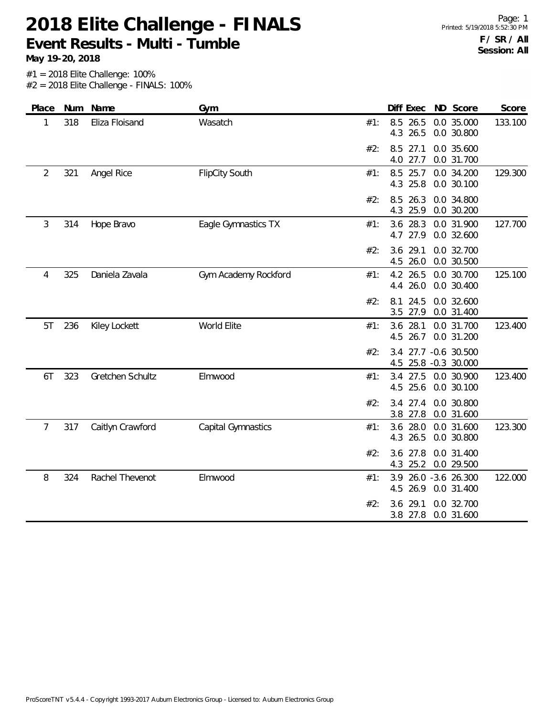**Event Results - Multi - Tumble**

**May 19-20, 2018**

| Place          |     | Num Name         | Gym                   | Diff Exec<br>ND Score<br>Score                                           |
|----------------|-----|------------------|-----------------------|--------------------------------------------------------------------------|
| 1              | 318 | Eliza Floisand   | Wasatch               | 0.0 35.000<br>8.5 26.5<br>133.100<br>#1:<br>4.3 26.5<br>0.0 30.800       |
|                |     |                  |                       | 0.0 35.600<br>8.5<br>27.1<br>#2:<br>4.0<br>27.7<br>0.0 31.700            |
| $\overline{2}$ | 321 | Angel Rice       | <b>FlipCity South</b> | 129.300<br>#1:<br>8.5<br>25.7<br>0.0 34.200<br>25.8<br>0.0 30.100<br>4.3 |
|                |     |                  |                       | 26.3<br>0.0 34.800<br>#2:<br>8.5<br>25.9<br>0.0 30.200<br>4.3            |
| 3              | 314 | Hope Bravo       | Eagle Gymnastics TX   | 28.3<br>0.0 31.900<br>3.6<br>127.700<br>#1:<br>4.7 27.9<br>0.0 32.600    |
|                |     |                  |                       | 0.0 32.700<br>3.6<br>29.1<br>#2:<br>26.0<br>0.0 30.500<br>4.5            |
| 4              | 325 | Daniela Zavala   | Gym Academy Rockford  | 4.2 26.5<br>125.100<br>0.0 30.700<br>#1:<br>4.4 26.0<br>0.0 30.400       |
|                |     |                  |                       | 8.1 24.5<br>0.0 32.600<br>#2:<br>27.9<br>0.0 31.400<br>3.5               |
| 5T             | 236 | Kiley Lockett    | World Elite           | 28.1<br>0.0 31.700<br>123.400<br>#1:<br>3.6<br>4.5 26.7<br>0.0 31.200    |
|                |     |                  |                       | #2:<br>27.7 -0.6 30.500<br>3.4<br>25.8 -0.3 30.000<br>4.5                |
| 6T             | 323 | Gretchen Schultz | Elmwood               | 27.5<br>0.0 30.900<br>123.400<br>#1:<br>3.4<br>4.5 25.6<br>0.0 30.100    |
|                |     |                  |                       | 3.4 27.4<br>0.0 30.800<br>#2:<br>27.8<br>0.0 31.600<br>3.8               |
| 7              | 317 | Caitlyn Crawford | Capital Gymnastics    | 3.6 28.0<br>0.0 31.600<br>123.300<br>#1:<br>26.5<br>4.3<br>0.0 30.800    |
|                |     |                  |                       | #2:<br>3.6<br>27.8<br>0.0 31.400<br>4.3 25.2<br>0.0 29.500               |
| 8              | 324 | Rachel Thevenot  | Elmwood               | 122.000<br>26.0 - 3.6 26.300<br>3.9<br>#1:<br>4.5<br>26.9<br>0.0 31.400  |
|                |     |                  |                       | 0.0 32.700<br>#2:<br>29.1<br>3.6<br>3.8 27.8<br>0.0 31.600               |